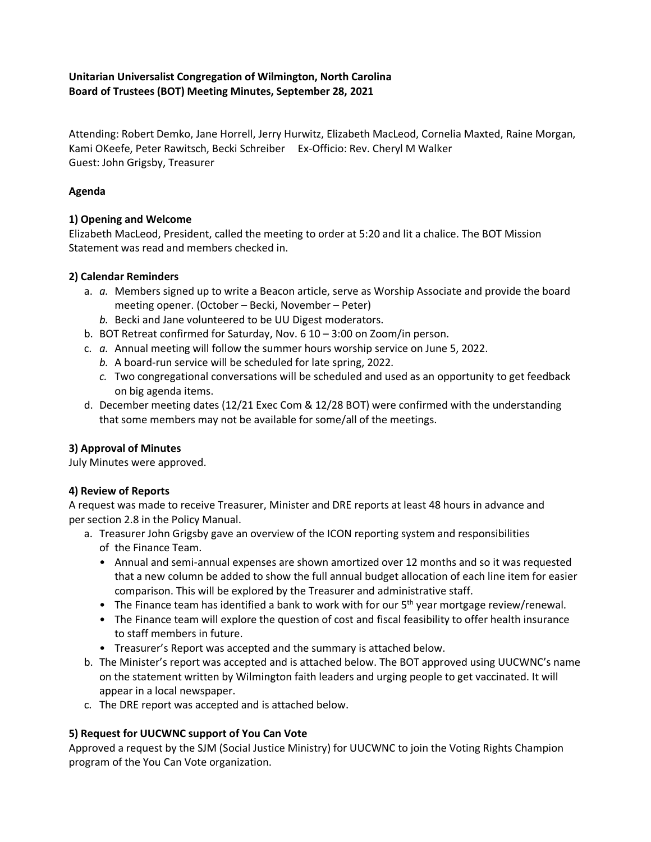### **Unitarian Universalist Congregation of Wilmington, North Carolina Board of Trustees (BOT) Meeting Minutes, September 28, 2021**

Attending: Robert Demko, Jane Horrell, Jerry Hurwitz, Elizabeth MacLeod, Cornelia Maxted, Raine Morgan, Kami OKeefe, Peter Rawitsch, Becki Schreiber Ex-Officio: Rev. Cheryl M Walker Guest: John Grigsby, Treasurer

## **Agenda**

## **1) Opening and Welcome**

Elizabeth MacLeod, President, called the meeting to order at 5:20 and lit a chalice. The BOT Mission Statement was read and members checked in.

## **2) Calendar Reminders**

- a. *a.* Members signed up to write a Beacon article, serve as Worship Associate and provide the board meeting opener. (October – Becki, November – Peter)
	- *b.* Becki and Jane volunteered to be UU Digest moderators.
- b. BOT Retreat confirmed for Saturday, Nov. 6 10 3:00 on Zoom/in person.
- c. *a.* Annual meeting will follow the summer hours worship service on June 5, 2022.
	- *b.* A board-run service will be scheduled for late spring, 2022.
	- *c.* Two congregational conversations will be scheduled and used as an opportunity to get feedback on big agenda items.
- d. December meeting dates (12/21 Exec Com & 12/28 BOT) were confirmed with the understanding that some members may not be available for some/all of the meetings.

# **3) Approval of Minutes**

July Minutes were approved.

### **4) Review of Reports**

A request was made to receive Treasurer, Minister and DRE reports at least 48 hours in advance and per section 2.8 in the Policy Manual.

- a. Treasurer John Grigsby gave an overview of the ICON reporting system and responsibilities of the Finance Team.
	- Annual and semi-annual expenses are shown amortized over 12 months and so it was requested that a new column be added to show the full annual budget allocation of each line item for easier comparison. This will be explored by the Treasurer and administrative staff.
	- The Finance team has identified a bank to work with for our  $5<sup>th</sup>$  year mortgage review/renewal.
	- The Finance team will explore the question of cost and fiscal feasibility to offer health insurance to staff members in future.
	- Treasurer's Report was accepted and the summary is attached below.
- b. The Minister's report was accepted and is attached below. The BOT approved using UUCWNC's name on the statement written by Wilmington faith leaders and urging people to get vaccinated. It will appear in a local newspaper.
- c. The DRE report was accepted and is attached below.

# **5) Request for UUCWNC support of You Can Vote**

Approved a request by the SJM (Social Justice Ministry) for UUCWNC to join the Voting Rights Champion program of the You Can Vote organization.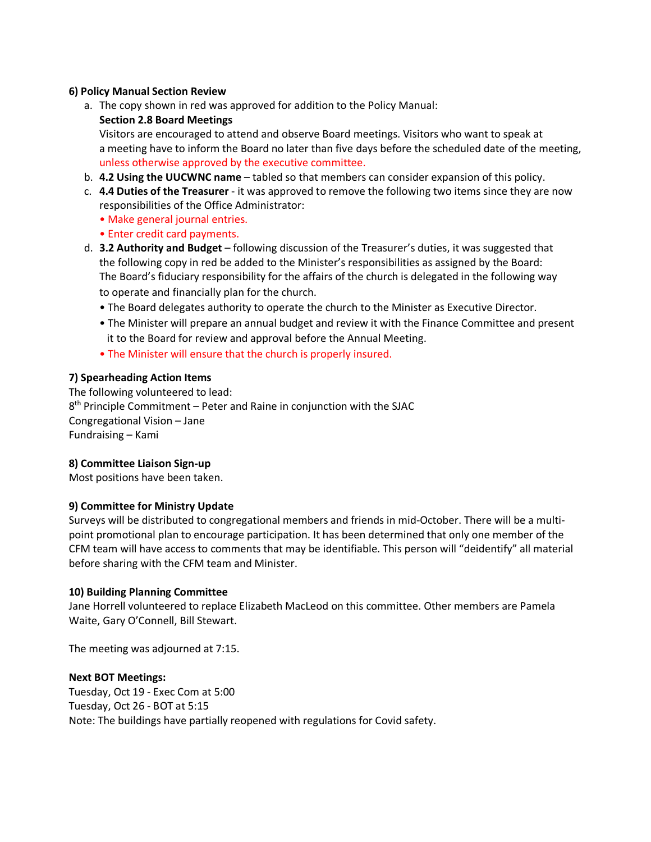#### **6) Policy Manual Section Review**

a. The copy shown in red was approved for addition to the Policy Manual:

#### **Section 2.8 Board Meetings**

Visitors are encouraged to attend and observe Board meetings. Visitors who want to speak at a meeting have to inform the Board no later than five days before the scheduled date of the meeting, unless otherwise approved by the executive committee.

- b. **4.2 Using the UUCWNC name** tabled so that members can consider expansion of this policy.
- c. **4.4 Duties of the Treasurer** it was approved to remove the following two items since they are now responsibilities of the Office Administrator:
	- Make general journal entries.
	- Enter credit card payments.
- d. **3.2 Authority and Budget** following discussion of the Treasurer's duties, it was suggested that the following copy in red be added to the Minister's responsibilities as assigned by the Board: The Board's fiduciary responsibility for the affairs of the church is delegated in the following way to operate and financially plan for the church.
	- The Board delegates authority to operate the church to the Minister as Executive Director.
	- The Minister will prepare an annual budget and review it with the Finance Committee and present it to the Board for review and approval before the Annual Meeting.
	- The Minister will ensure that the church is properly insured.

#### **7) Spearheading Action Items**

The following volunteered to lead:  $8<sup>th</sup>$  Principle Commitment – Peter and Raine in conjunction with the SJAC Congregational Vision – Jane Fundraising – Kami

#### **8) Committee Liaison Sign-up**

Most positions have been taken.

#### **9) Committee for Ministry Update**

Surveys will be distributed to congregational members and friends in mid-October. There will be a multipoint promotional plan to encourage participation. It has been determined that only one member of the CFM team will have access to comments that may be identifiable. This person will "deidentify" all material before sharing with the CFM team and Minister.

#### **10) Building Planning Committee**

Jane Horrell volunteered to replace Elizabeth MacLeod on this committee. Other members are Pamela Waite, Gary O'Connell, Bill Stewart.

The meeting was adjourned at 7:15.

#### **Next BOT Meetings:**

Tuesday, Oct 19 - Exec Com at 5:00 Tuesday, Oct 26 - BOT at 5:15 Note: The buildings have partially reopened with regulations for Covid safety.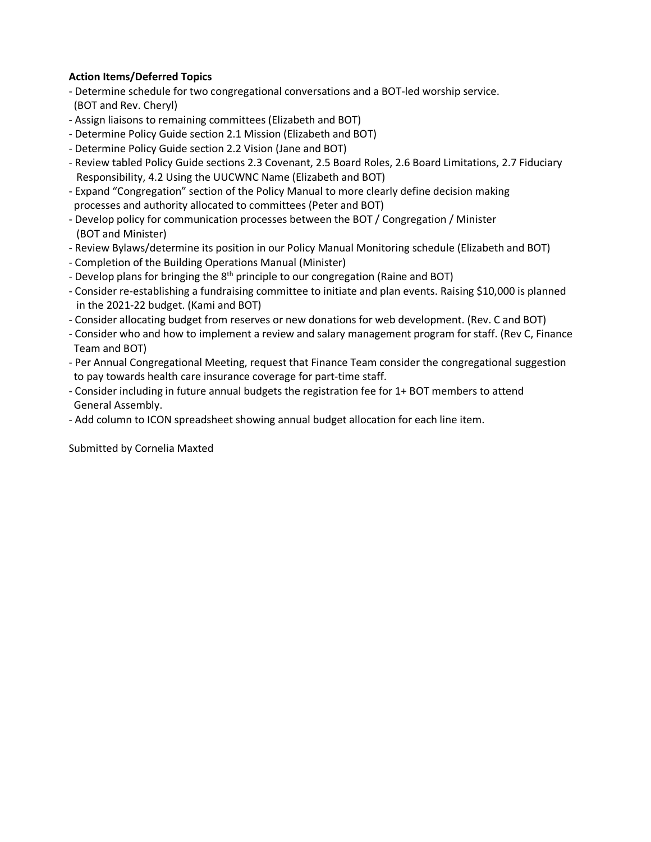## **Action Items/Deferred Topics**

- Determine schedule for two congregational conversations and a BOT-led worship service. (BOT and Rev. Cheryl)
- Assign liaisons to remaining committees (Elizabeth and BOT)
- Determine Policy Guide section 2.1 Mission (Elizabeth and BOT)
- Determine Policy Guide section 2.2 Vision (Jane and BOT)
- Review tabled Policy Guide sections 2.3 Covenant, 2.5 Board Roles, 2.6 Board Limitations, 2.7 Fiduciary Responsibility, 4.2 Using the UUCWNC Name (Elizabeth and BOT)
- Expand "Congregation" section of the Policy Manual to more clearly define decision making processes and authority allocated to committees (Peter and BOT)
- Develop policy for communication processes between the BOT / Congregation / Minister (BOT and Minister)
- Review Bylaws/determine its position in our Policy Manual Monitoring schedule (Elizabeth and BOT)
- Completion of the Building Operations Manual (Minister)
- Develop plans for bringing the  $8<sup>th</sup>$  principle to our congregation (Raine and BOT)
- Consider re-establishing a fundraising committee to initiate and plan events. Raising \$10,000 is planned in the 2021-22 budget. (Kami and BOT)
- Consider allocating budget from reserves or new donations for web development. (Rev. C and BOT)
- Consider who and how to implement a review and salary management program for staff. (Rev C, Finance Team and BOT)
- Per Annual Congregational Meeting, request that Finance Team consider the congregational suggestion to pay towards health care insurance coverage for part-time staff.
- Consider including in future annual budgets the registration fee for 1+ BOT members to attend General Assembly.
- Add column to ICON spreadsheet showing annual budget allocation for each line item.

Submitted by Cornelia Maxted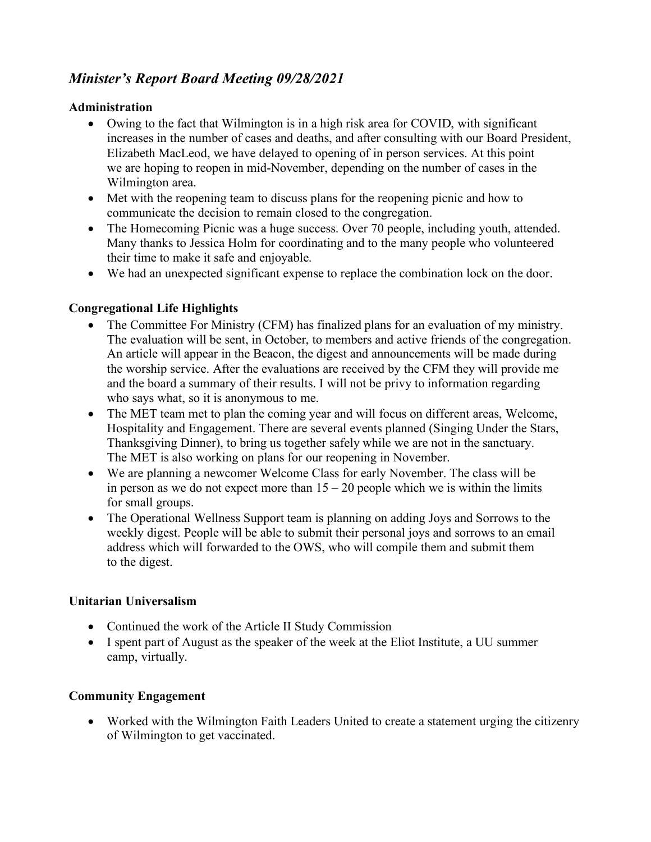# *Minister's Report Board Meeting 09/28/2021*

# **Administration**

- Owing to the fact that Wilmington is in a high risk area for COVID, with significant increases in the number of cases and deaths, and after consulting with our Board President, Elizabeth MacLeod, we have delayed to opening of in person services. At this point we are hoping to reopen in mid-November, depending on the number of cases in the Wilmington area.
- Met with the reopening team to discuss plans for the reopening picnic and how to communicate the decision to remain closed to the congregation.
- The Homecoming Picnic was a huge success. Over 70 people, including youth, attended. Many thanks to Jessica Holm for coordinating and to the many people who volunteered their time to make it safe and enjoyable.
- We had an unexpected significant expense to replace the combination lock on the door.

# **Congregational Life Highlights**

- The Committee For Ministry (CFM) has finalized plans for an evaluation of my ministry. The evaluation will be sent, in October, to members and active friends of the congregation. An article will appear in the Beacon, the digest and announcements will be made during the worship service. After the evaluations are received by the CFM they will provide me and the board a summary of their results. I will not be privy to information regarding who says what, so it is anonymous to me.
- The MET team met to plan the coming year and will focus on different areas, Welcome, Hospitality and Engagement. There are several events planned (Singing Under the Stars, Thanksgiving Dinner), to bring us together safely while we are not in the sanctuary. The MET is also working on plans for our reopening in November.
- We are planning a newcomer Welcome Class for early November. The class will be in person as we do not expect more than  $15 - 20$  people which we is within the limits for small groups.
- The Operational Wellness Support team is planning on adding Joys and Sorrows to the weekly digest. People will be able to submit their personal joys and sorrows to an email address which will forwarded to the OWS, who will compile them and submit them to the digest.

# **Unitarian Universalism**

- Continued the work of the Article II Study Commission
- I spent part of August as the speaker of the week at the Eliot Institute, a UU summer camp, virtually.

# **Community Engagement**

• Worked with the Wilmington Faith Leaders United to create a statement urging the citizenry of Wilmington to get vaccinated.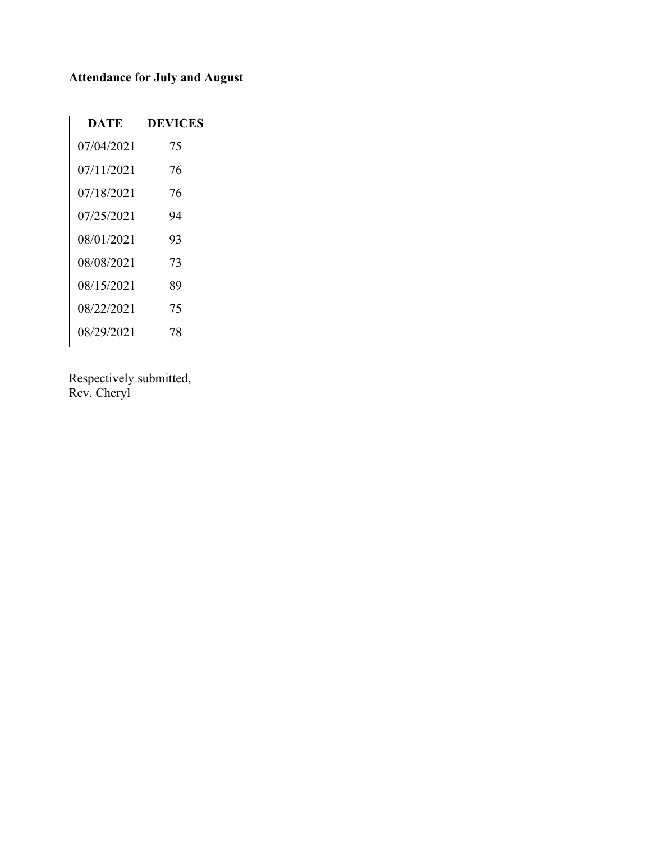# **Attendance for July and August**

| <b>DATE</b> | <b>DEVICES</b> |
|-------------|----------------|
| 07/04/2021  | 75             |
| 07/11/2021  | 76             |
| 07/18/2021  | 76             |
| 07/25/2021  | 94             |
| 08/01/2021  | 93             |
| 08/08/2021  | 73             |
| 08/15/2021  | 89             |
| 08/22/2021  | 75             |
| 08/29/2021  | 78             |

Respectively submitted, Rev. Cheryl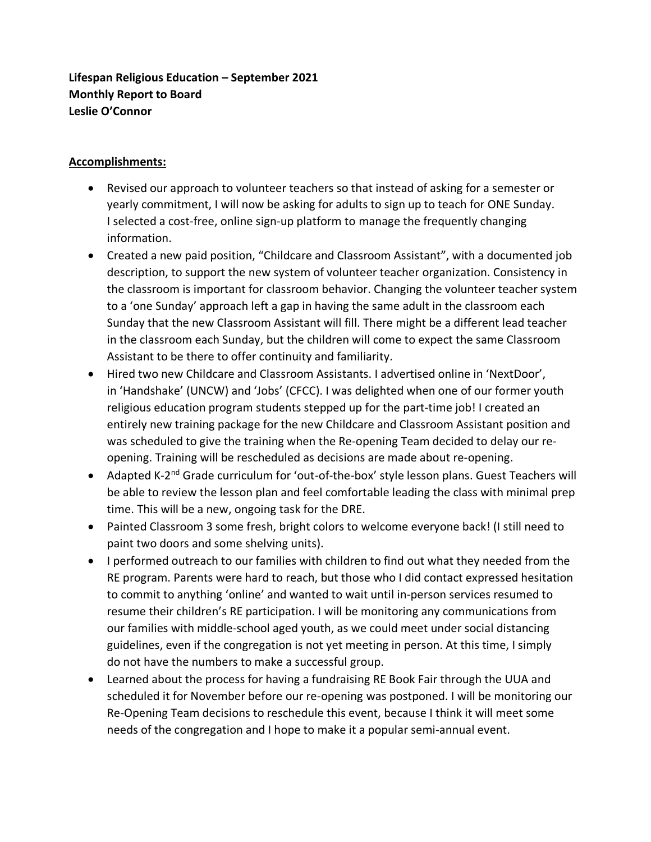**Lifespan Religious Education – September 2021 Monthly Report to Board Leslie O'Connor**

# **Accomplishments:**

- Revised our approach to volunteer teachers so that instead of asking for a semester or yearly commitment, I will now be asking for adults to sign up to teach for ONE Sunday. I selected a cost-free, online sign-up platform to manage the frequently changing information.
- Created a new paid position, "Childcare and Classroom Assistant", with a documented job description, to support the new system of volunteer teacher organization. Consistency in the classroom is important for classroom behavior. Changing the volunteer teacher system to a 'one Sunday' approach left a gap in having the same adult in the classroom each Sunday that the new Classroom Assistant will fill. There might be a different lead teacher in the classroom each Sunday, but the children will come to expect the same Classroom Assistant to be there to offer continuity and familiarity.
- Hired two new Childcare and Classroom Assistants. I advertised online in 'NextDoor', in 'Handshake' (UNCW) and 'Jobs' (CFCC). I was delighted when one of our former youth religious education program students stepped up for the part-time job! I created an entirely new training package for the new Childcare and Classroom Assistant position and was scheduled to give the training when the Re-opening Team decided to delay our reopening. Training will be rescheduled as decisions are made about re-opening.
- Adapted K-2<sup>nd</sup> Grade curriculum for 'out-of-the-box' style lesson plans. Guest Teachers will be able to review the lesson plan and feel comfortable leading the class with minimal prep time. This will be a new, ongoing task for the DRE.
- Painted Classroom 3 some fresh, bright colors to welcome everyone back! (I still need to paint two doors and some shelving units).
- I performed outreach to our families with children to find out what they needed from the RE program. Parents were hard to reach, but those who I did contact expressed hesitation to commit to anything 'online' and wanted to wait until in-person services resumed to resume their children's RE participation. I will be monitoring any communications from our families with middle-school aged youth, as we could meet under social distancing guidelines, even if the congregation is not yet meeting in person. At this time, I simply do not have the numbers to make a successful group.
- Learned about the process for having a fundraising RE Book Fair through the UUA and scheduled it for November before our re-opening was postponed. I will be monitoring our Re-Opening Team decisions to reschedule this event, because I think it will meet some needs of the congregation and I hope to make it a popular semi-annual event.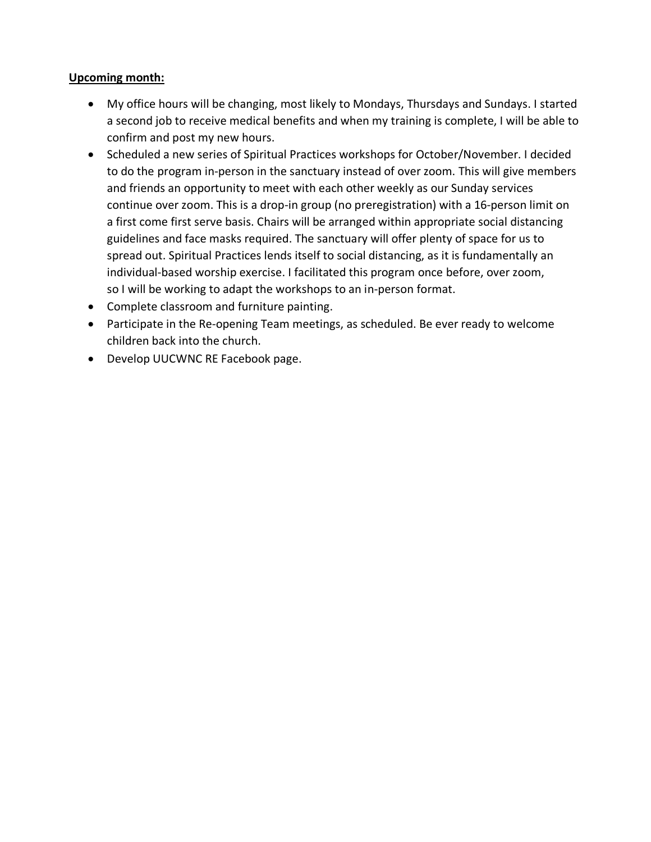# **Upcoming month:**

- My office hours will be changing, most likely to Mondays, Thursdays and Sundays. I started a second job to receive medical benefits and when my training is complete, I will be able to confirm and post my new hours.
- Scheduled a new series of Spiritual Practices workshops for October/November. I decided to do the program in-person in the sanctuary instead of over zoom. This will give members and friends an opportunity to meet with each other weekly as our Sunday services continue over zoom. This is a drop-in group (no preregistration) with a 16-person limit on a first come first serve basis. Chairs will be arranged within appropriate social distancing guidelines and face masks required. The sanctuary will offer plenty of space for us to spread out. Spiritual Practices lends itself to social distancing, as it is fundamentally an individual-based worship exercise. I facilitated this program once before, over zoom, so I will be working to adapt the workshops to an in-person format.
- Complete classroom and furniture painting.
- Participate in the Re-opening Team meetings, as scheduled. Be ever ready to welcome children back into the church.
- Develop UUCWNC RE Facebook page.